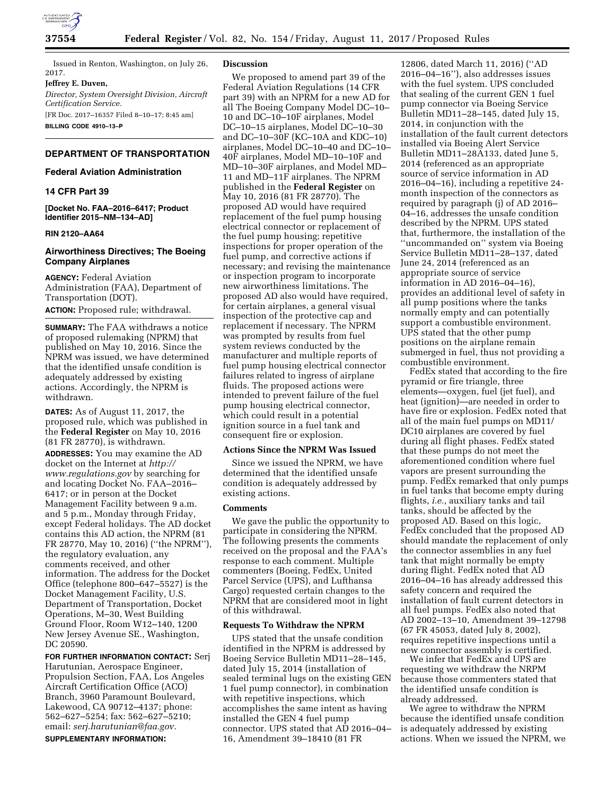

Issued in Renton, Washington, on July 26, 2017.

**Jeffrey E. Duven,** 

*Director, System Oversight Division, Aircraft Certification Service.* 

[FR Doc. 2017–16357 Filed 8–10–17; 8:45 am] **BILLING CODE 4910–13–P** 

# **DEPARTMENT OF TRANSPORTATION**

## **Federal Aviation Administration**

## **14 CFR Part 39**

**[Docket No. FAA–2016–6417; Product Identifier 2015–NM–134–AD]** 

## **RIN 2120–AA64**

## **Airworthiness Directives; The Boeing Company Airplanes**

**AGENCY:** Federal Aviation Administration (FAA), Department of Transportation (DOT).

**ACTION:** Proposed rule; withdrawal.

**SUMMARY:** The FAA withdraws a notice of proposed rulemaking (NPRM) that published on May 10, 2016. Since the NPRM was issued, we have determined that the identified unsafe condition is adequately addressed by existing actions. Accordingly, the NPRM is withdrawn.

**DATES:** As of August 11, 2017, the proposed rule, which was published in the **Federal Register** on May 10, 2016 (81 FR 28770), is withdrawn.

**ADDRESSES:** You may examine the AD docket on the Internet at *[http://](http://www.regulations.gov) [www.regulations.gov](http://www.regulations.gov)* by searching for and locating Docket No. FAA–2016– 6417; or in person at the Docket Management Facility between 9 a.m. and 5 p.m., Monday through Friday, except Federal holidays. The AD docket contains this AD action, the NPRM (81 FR 28770, May 10, 2016) (''the NPRM''), the regulatory evaluation, any comments received, and other information. The address for the Docket Office (telephone 800–647–5527) is the Docket Management Facility, U.S. Department of Transportation, Docket Operations, M–30, West Building Ground Floor, Room W12–140, 1200 New Jersey Avenue SE., Washington, DC 20590.

**FOR FURTHER INFORMATION CONTACT:** Serj Harutunian, Aerospace Engineer, Propulsion Section, FAA, Los Angeles Aircraft Certification Office (ACO) Branch, 3960 Paramount Boulevard, Lakewood, CA 90712–4137; phone: 562–627–5254; fax: 562–627–5210; email: *[serj.harutunian@faa.gov.](mailto:serj.harutunian@faa.gov)*  **SUPPLEMENTARY INFORMATION:** 

### **Discussion**

We proposed to amend part 39 of the Federal Aviation Regulations (14 CFR part 39) with an NPRM for a new AD for all The Boeing Company Model DC–10– 10 and DC–10–10F airplanes, Model DC–10–15 airplanes, Model DC–10–30 and DC–10–30F (KC–10A and KDC–10) airplanes, Model DC–10–40 and DC–10– 40F airplanes, Model MD–10–10F and MD–10–30F airplanes, and Model MD– 11 and MD–11F airplanes. The NPRM published in the **Federal Register** on May 10, 2016 (81 FR 28770). The proposed AD would have required replacement of the fuel pump housing electrical connector or replacement of the fuel pump housing; repetitive inspections for proper operation of the fuel pump, and corrective actions if necessary; and revising the maintenance or inspection program to incorporate new airworthiness limitations. The proposed AD also would have required, for certain airplanes, a general visual inspection of the protective cap and replacement if necessary. The NPRM was prompted by results from fuel system reviews conducted by the manufacturer and multiple reports of fuel pump housing electrical connector failures related to ingress of airplane fluids. The proposed actions were intended to prevent failure of the fuel pump housing electrical connector, which could result in a potential ignition source in a fuel tank and consequent fire or explosion.

#### **Actions Since the NPRM Was Issued**

Since we issued the NPRM, we have determined that the identified unsafe condition is adequately addressed by existing actions.

#### **Comments**

We gave the public the opportunity to participate in considering the NPRM. The following presents the comments received on the proposal and the FAA's response to each comment. Multiple commenters (Boeing, FedEx, United Parcel Service (UPS), and Lufthansa Cargo) requested certain changes to the NPRM that are considered moot in light of this withdrawal.

### **Requests To Withdraw the NPRM**

UPS stated that the unsafe condition identified in the NPRM is addressed by Boeing Service Bulletin MD11–28–145, dated July 15, 2014 (installation of sealed terminal lugs on the existing GEN 1 fuel pump connector), in combination with repetitive inspections, which accomplishes the same intent as having installed the GEN 4 fuel pump connector. UPS stated that AD 2016–04– 16, Amendment 39–18410 (81 FR

12806, dated March 11, 2016) (''AD 2016–04–16''), also addresses issues with the fuel system. UPS concluded that sealing of the current GEN 1 fuel pump connector via Boeing Service Bulletin MD11–28–145, dated July 15, 2014, in conjunction with the installation of the fault current detectors installed via Boeing Alert Service Bulletin MD11–28A133, dated June 5, 2014 (referenced as an appropriate source of service information in AD 2016–04–16), including a repetitive 24 month inspection of the connectors as required by paragraph (j) of AD 2016– 04–16, addresses the unsafe condition described by the NPRM. UPS stated that, furthermore, the installation of the ''uncommanded on'' system via Boeing Service Bulletin MD11–28–137, dated June 24, 2014 (referenced as an appropriate source of service information in AD 2016–04–16), provides an additional level of safety in all pump positions where the tanks normally empty and can potentially support a combustible environment. UPS stated that the other pump positions on the airplane remain submerged in fuel, thus not providing a combustible environment.

FedEx stated that according to the fire pyramid or fire triangle, three elements—oxygen, fuel (jet fuel), and heat (ignition)—are needed in order to have fire or explosion. FedEx noted that all of the main fuel pumps on MD11/ DC10 airplanes are covered by fuel during all flight phases. FedEx stated that these pumps do not meet the aforementioned condition where fuel vapors are present surrounding the pump. FedEx remarked that only pumps in fuel tanks that become empty during flights, *i.e.,* auxiliary tanks and tail tanks, should be affected by the proposed AD. Based on this logic, FedEx concluded that the proposed AD should mandate the replacement of only the connector assemblies in any fuel tank that might normally be empty during flight. FedEx noted that AD 2016–04–16 has already addressed this safety concern and required the installation of fault current detectors in all fuel pumps. FedEx also noted that AD 2002–13–10, Amendment 39–12798 (67 FR 45053, dated July 8, 2002), requires repetitive inspections until a new connector assembly is certified.

We infer that FedEx and UPS are requesting we withdraw the NRPM because those commenters stated that the identified unsafe condition is already addressed.

We agree to withdraw the NPRM because the identified unsafe condition is adequately addressed by existing actions. When we issued the NPRM, we